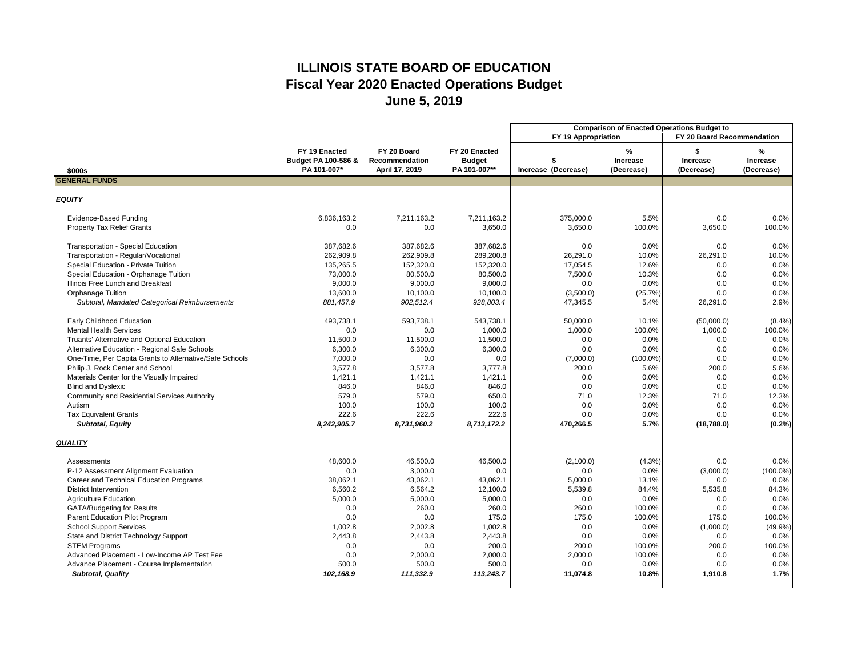|                                                         |                                                                |                                                 |                                                | <b>Comparison of Enacted Operations Budget to</b> |                                    |                               |                                    |
|---------------------------------------------------------|----------------------------------------------------------------|-------------------------------------------------|------------------------------------------------|---------------------------------------------------|------------------------------------|-------------------------------|------------------------------------|
|                                                         |                                                                |                                                 |                                                | FY 19 Appropriation                               |                                    | FY 20 Board Recommendation    |                                    |
| \$000s                                                  | FY 19 Enacted<br><b>Budget PA 100-586 &amp;</b><br>PA 101-007* | FY 20 Board<br>Recommendation<br>April 17, 2019 | FY 20 Enacted<br><b>Budget</b><br>PA 101-007** | Increase (Decrease)                               | %<br><b>Increase</b><br>(Decrease) | <b>Increase</b><br>(Decrease) | ℅<br><b>Increase</b><br>(Decrease) |
| <b>GENERAL FUNDS</b>                                    |                                                                |                                                 |                                                |                                                   |                                    |                               |                                    |
|                                                         |                                                                |                                                 |                                                |                                                   |                                    |                               |                                    |
| <b>EQUITY</b>                                           |                                                                |                                                 |                                                |                                                   |                                    |                               |                                    |
| <b>Evidence-Based Funding</b>                           | 6,836,163.2                                                    | 7,211,163.2                                     | 7,211,163.2                                    | 375,000.0                                         | 5.5%                               | 0.0                           | 0.0%                               |
| <b>Property Tax Relief Grants</b>                       | 0.0                                                            | 0.0                                             | 3,650.0                                        | 3,650.0                                           | 100.0%                             | 3,650.0                       | 100.0%                             |
| <b>Transportation - Special Education</b>               | 387,682.6                                                      | 387,682.6                                       | 387,682.6                                      | 0.0                                               | 0.0%                               | 0.0                           | 0.0%                               |
| Transportation - Regular/Vocational                     | 262,909.8                                                      | 262,909.8                                       | 289,200.8                                      | 26,291.0                                          | 10.0%                              | 26,291.0                      | 10.0%                              |
| Special Education - Private Tuition                     | 135,265.5                                                      | 152,320.0                                       | 152,320.0                                      | 17,054.5                                          | 12.6%                              | 0.0                           | 0.0%                               |
| Special Education - Orphanage Tuition                   | 73,000.0                                                       | 80,500.0                                        | 80,500.0                                       | 7,500.0                                           | 10.3%                              | 0.0                           | 0.0%                               |
| Illinois Free Lunch and Breakfast                       | 9,000.0                                                        | 9,000.0                                         | 9,000.0                                        | 0.0                                               | 0.0%                               | 0.0                           | 0.0%                               |
| <b>Orphanage Tuition</b>                                | 13,600.0                                                       | 10,100.0                                        | 10,100.0                                       | (3,500.0)                                         | (25.7%)                            | 0.0                           | 0.0%                               |
| Subtotal, Mandated Categorical Reimbursements           | 881,457.9                                                      | 902,512.4                                       | 928,803.4                                      | 47,345.5                                          | 5.4%                               | 26,291.0                      | 2.9%                               |
| <b>Early Childhood Education</b>                        | 493,738.1                                                      | 593,738.1                                       | 543,738.1                                      | 50,000.0                                          | 10.1%                              | (50,000.0)                    | $(8.4\%)$                          |
| <b>Mental Health Services</b>                           | 0.0                                                            | 0.0                                             | 1,000.0                                        | 1,000.0                                           | 100.0%                             | 1,000.0                       | 100.0%                             |
| Truants' Alternative and Optional Education             | 11,500.0                                                       | 11,500.0                                        | 11,500.0                                       | 0.0                                               | 0.0%                               | 0.0                           | 0.0%                               |
| Alternative Education - Regional Safe Schools           | 6,300.0                                                        | 6,300.0                                         | 6,300.0                                        | 0.0                                               | 0.0%                               | 0.0                           | 0.0%                               |
| One-Time, Per Capita Grants to Alternative/Safe Schools | 7,000.0                                                        | 0.0                                             | 0.0                                            | (7,000.0)                                         | $(100.0\%)$                        | 0.0                           | 0.0%                               |
| Philip J. Rock Center and School                        | 3,577.8                                                        | 3,577.8                                         | 3,777.8                                        | 200.0                                             | 5.6%                               | 200.0                         | 5.6%                               |
| Materials Center for the Visually Impaired              | 1,421.1                                                        | 1,421.1                                         | 1,421.1                                        | 0.0                                               | 0.0%                               | 0.0                           | 0.0%                               |
| <b>Blind and Dyslexic</b>                               | 846.0                                                          | 846.0                                           | 846.0                                          | 0.0                                               | 0.0%                               | 0.0                           | 0.0%                               |
| <b>Community and Residential Services Authority</b>     | 579.0                                                          | 579.0                                           | 650.0                                          | 71.0                                              | 12.3%                              | 71.0                          | 12.3%                              |
| Autism                                                  | 100.0                                                          | 100.0                                           | 100.0                                          | 0.0                                               | 0.0%                               | 0.0                           | 0.0%                               |
| <b>Tax Equivalent Grants</b>                            | 222.6                                                          | 222.6                                           | 222.6                                          | 0.0                                               | $0.0\%$                            | 0.0                           | $0.0\%$                            |
| <b>Subtotal, Equity</b>                                 | 8,242,905.7                                                    | 8,731,960.2                                     | 8,713,172.2                                    | 470,266.5                                         | 5.7%                               | (18, 788.0)                   | $(0.2\%)$                          |
| <b>QUALITY</b>                                          |                                                                |                                                 |                                                |                                                   |                                    |                               |                                    |
| Assessments                                             | 48,600.0                                                       | 46,500.0                                        | 46,500.0                                       | (2,100.0)                                         | (4.3%)                             | 0.0                           | $0.0\%$                            |
| P-12 Assessment Alignment Evaluation                    | 0.0                                                            | 3,000.0                                         | 0.0                                            | 0.0                                               | 0.0%                               | (3,000.0)                     | $(100.0\%)$                        |
| <b>Career and Technical Education Programs</b>          | 38,062.1                                                       | 43,062.1                                        | 43,062.1                                       | 5,000.0                                           | 13.1%                              | 0.0                           | 0.0%                               |
| <b>District Intervention</b>                            | 6,560.2                                                        | 6,564.2                                         | 12,100.0                                       | 5,539.8                                           | 84.4%                              | 5,535.8                       | 84.3%                              |
| <b>Agriculture Education</b>                            | 5,000.0                                                        | 5,000.0                                         | 5,000.0                                        | 0.0                                               | 0.0%                               | 0.0                           | 0.0%                               |
| <b>GATA/Budgeting for Results</b>                       | 0.0                                                            | 260.0                                           | 260.0                                          | 260.0                                             | 100.0%                             | 0.0                           | 0.0%                               |
| Parent Education Pilot Program                          | 0.0                                                            | 0.0                                             | 175.0                                          | 175.0                                             | 100.0%                             | 175.0                         | 100.0%                             |
| <b>School Support Services</b>                          | 1,002.8                                                        | 2,002.8                                         | 1,002.8                                        | 0.0                                               | $0.0\%$                            | (1,000.0)                     | (49.9%                             |
| <b>State and District Technology Support</b>            | 2,443.8                                                        | 2,443.8                                         | 2,443.8                                        | 0.0                                               | 0.0%                               | 0.0                           | 0.0%                               |
| <b>STEM Programs</b>                                    | 0.0                                                            | 0.0                                             | 200.0                                          | 200.0                                             | 100.0%                             | 200.0                         | 100.0%                             |
| Advanced Placement - Low-Income AP Test Fee             | 0.0                                                            | 2,000.0                                         | 2,000.0                                        | 2,000.0                                           | 100.0%                             | 0.0                           | 0.0%                               |
| Advance Placement - Course Implementation               | 500.0                                                          | 500.0                                           | 500.0                                          | 0.0                                               | $0.0\%$                            | 0.0                           | 0.0%                               |
| <b>Subtotal, Quality</b>                                | 102,168.9                                                      | 111,332.9                                       | 113,243.7                                      | 11,074.8                                          | 10.8%                              | 1,910.8                       | 1.7%                               |
|                                                         |                                                                |                                                 |                                                |                                                   |                                    |                               |                                    |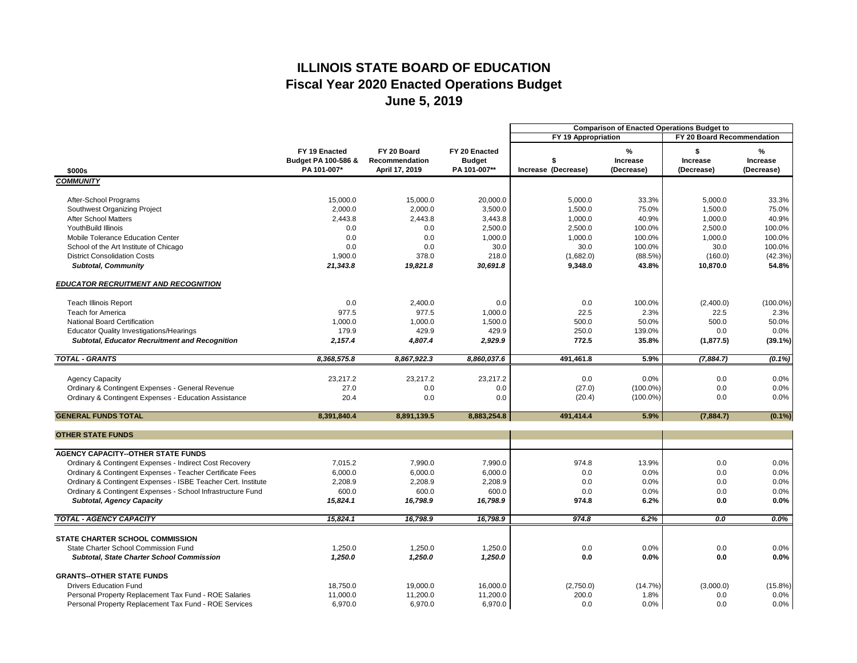|                                                                    |                     |                       |               | <b>Comparison of Enacted Operations Budget to</b> |                 |                            |                 |
|--------------------------------------------------------------------|---------------------|-----------------------|---------------|---------------------------------------------------|-----------------|----------------------------|-----------------|
|                                                                    |                     |                       |               | FY 19 Appropriation                               |                 | FY 20 Board Recommendation |                 |
|                                                                    | FY 19 Enacted       | FY 20 Board           | FY 20 Enacted |                                                   | $\%$            |                            | $\%$            |
|                                                                    | Budget PA 100-586 & | <b>Recommendation</b> | <b>Budget</b> |                                                   | <b>Increase</b> | <b>Increase</b>            | <b>Increase</b> |
| \$000s                                                             | PA 101-007*         | April 17, 2019        | PA 101-007**  | Increase (Decrease)                               | (Decrease)      | (Decrease)                 | (Decrease)      |
| <b>COMMUNITY</b>                                                   |                     |                       |               |                                                   |                 |                            |                 |
| After-School Programs                                              | 15,000.0            | 15,000.0              | 20,000.0      | 5,000.0                                           | 33.3%           | 5,000.0                    | 33.3%           |
| Southwest Organizing Project                                       | 2,000.0             | 2,000.0               | 3,500.0       | 1,500.0                                           | 75.0%           | 1,500.0                    | 75.0%           |
| <b>After School Matters</b>                                        | 2,443.8             | 2,443.8               | 3,443.8       | 1,000.0                                           | 40.9%           | 1,000.0                    | 40.9%           |
| <b>YouthBuild Illinois</b>                                         | 0.0                 | 0.0                   | 2,500.0       | 2,500.0                                           | 100.0%          | 2,500.0                    | 100.0%          |
| <b>Mobile Tolerance Education Center</b>                           | 0.0                 | 0.0                   | 1,000.0       | 1,000.0                                           | 100.0%          | 1,000.0                    | 100.0%          |
| School of the Art Institute of Chicago                             | 0.0                 | 0.0                   | 30.0          | 30.0                                              | 100.0%          | 30.0                       | 100.0%          |
| <b>District Consolidation Costs</b>                                | 1,900.0             | 378.0                 | 218.0         | (1,682.0)                                         | (88.5%)         | (160.0)                    | (42.3%)         |
| <b>Subtotal, Community</b>                                         | 21,343.8            | 19,821.8              | 30,691.8      | 9,348.0                                           | 43.8%           | 10,870.0                   | 54.8%           |
| <b>EDUCATOR RECRUITMENT AND RECOGNITION</b>                        |                     |                       |               |                                                   |                 |                            |                 |
| <b>Teach Illinois Report</b>                                       | 0.0                 | 2,400.0               | 0.0           | 0.0                                               | 100.0%          | (2,400.0)                  | $(100.0\%)$     |
| <b>Teach for America</b>                                           | 977.5               | 977.5                 | 1,000.0       | 22.5                                              | 2.3%            | 22.5                       | 2.3%            |
| <b>National Board Certification</b>                                | 1,000.0             | 1,000.0               | 1,500.0       | 500.0                                             | 50.0%           | 500.0                      | 50.0%           |
| <b>Educator Quality Investigations/Hearings</b>                    | 179.9               | 429.9                 | 429.9         | 250.0                                             | 139.0%          | 0.0                        | 0.0%            |
| <b>Subtotal, Educator Recruitment and Recognition</b>              | 2,157.4             | 4,807.4               | 2,929.9       | 772.5                                             | 35.8%           | (1, 877.5)                 | $(39.1\%)$      |
| <b>TOTAL - GRANTS</b>                                              | 8,368,575.8         | 8,867,922.3           | 8,860,037.6   | 491,461.8                                         | 5.9%            | (7,884.7)                  | $(0.1\%)$       |
|                                                                    |                     |                       |               |                                                   |                 |                            |                 |
| <b>Agency Capacity</b>                                             | 23,217.2            | 23,217.2              | 23,217.2      | 0.0                                               | 0.0%            | 0.0                        | 0.0%            |
| Ordinary & Contingent Expenses - General Revenue                   | 27.0                | 0.0                   | 0.0           | (27.0)                                            | $(100.0\%)$     | 0.0                        | 0.0%            |
| <b>Ordinary &amp; Contingent Expenses - Education Assistance</b>   | 20.4                | 0.0                   | 0.0           | (20.4)                                            | $(100.0\%)$     | 0.0                        | 0.0%            |
| <b>GENERAL FUNDS TOTAL</b>                                         | 8,391,840.4         | 8,891,139.5           | 8,883,254.8   | 491,414.4                                         | 5.9%            | (7, 884.7)                 | $(0.1\%)$       |
|                                                                    |                     |                       |               |                                                   |                 |                            |                 |
| <b>OTHER STATE FUNDS</b>                                           |                     |                       |               |                                                   |                 |                            |                 |
| <b>AGENCY CAPACITY--OTHER STATE FUNDS</b>                          |                     |                       |               |                                                   |                 |                            |                 |
| <b>Ordinary &amp; Contingent Expenses - Indirect Cost Recovery</b> | 7,015.2             | 7,990.0               | 7,990.0       | 974.8                                             | 13.9%           | 0.0                        | $0.0\%$         |
| Ordinary & Contingent Expenses - Teacher Certificate Fees          | 6,000.0             | 6,000.0               | 6,000.0       | 0.0                                               | 0.0%            | 0.0                        | 0.0%            |
| Ordinary & Contingent Expenses - ISBE Teacher Cert. Institute      | 2,208.9             | 2,208.9               | 2,208.9       | 0.0                                               | 0.0%            | 0.0                        | 0.0%            |
| Ordinary & Contingent Expenses - School Infrastructure Fund        | 600.0               | 600.0                 | 600.0         | 0.0                                               | 0.0%            | 0.0                        | 0.0%            |
| <b>Subtotal, Agency Capacity</b>                                   | 15,824.1            | 16,798.9              | 16,798.9      | 974.8                                             | 6.2%            | 0.0                        | $0.0\%$         |
| <b>TOTAL - AGENCY CAPACITY</b>                                     | 15,824.1            | 16,798.9              | 16,798.9      | 974.8                                             | 6.2%            | 0.0                        | 0.0%            |
| <b>STATE CHARTER SCHOOL COMMISSION</b>                             |                     |                       |               |                                                   |                 |                            |                 |
| <b>State Charter School Commission Fund</b>                        | 1,250.0             | 1,250.0               | 1,250.0       | 0.0                                               | 0.0%            | 0.0                        | $0.0\%$         |
| <b>Subtotal, State Charter School Commission</b>                   | 1,250.0             | 1,250.0               | 1,250.0       | 0.0                                               | 0.0%            | 0.0                        | $0.0\%$         |
| <b>GRANTS--OTHER STATE FUNDS</b>                                   |                     |                       |               |                                                   |                 |                            |                 |
| <b>Drivers Education Fund</b>                                      | 18,750.0            | 19,000.0              | 16,000.0      | (2,750.0)                                         | (14.7%)         | (3,000.0)                  | $(15.8\%)$      |
| Personal Property Replacement Tax Fund - ROE Salaries              | 11,000.0            | 11,200.0              | 11,200.0      | 200.0                                             | 1.8%            | 0.0                        | $0.0\%$         |
| Personal Property Replacement Tax Fund - ROE Services              | 6,970.0             | 6,970.0               | 6,970.0       | 0.0                                               | $0.0\%$         | 0.0                        | $0.0\%$         |
|                                                                    |                     |                       |               |                                                   |                 |                            |                 |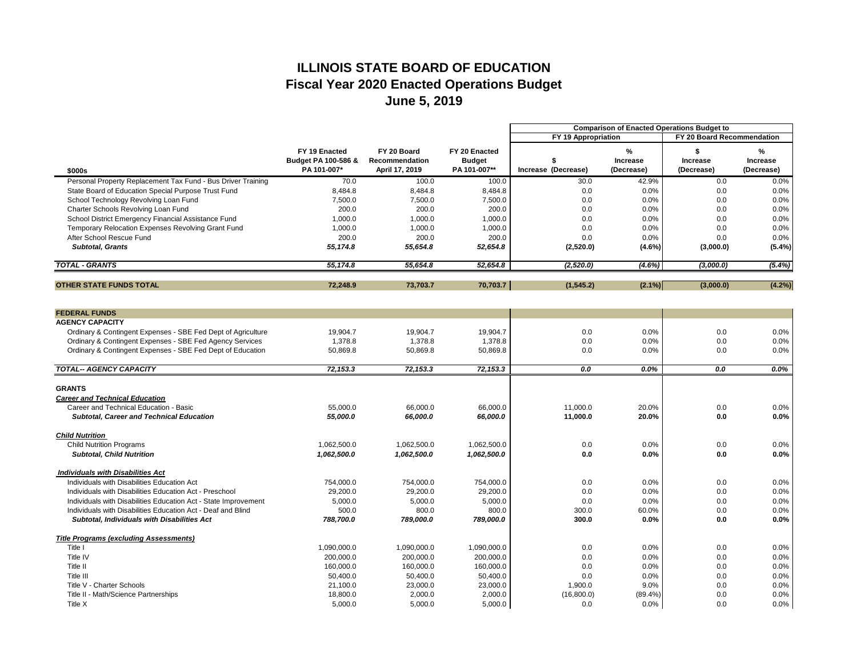|                                                                 |                                |                       |               | <b>Comparison of Enacted Operations Budget to</b> |                 |                 |                 |
|-----------------------------------------------------------------|--------------------------------|-----------------------|---------------|---------------------------------------------------|-----------------|-----------------|-----------------|
|                                                                 |                                |                       |               | FY 19 Appropriation<br>FY 20 Board Recommendation |                 |                 |                 |
|                                                                 | FY 19 Enacted                  | FY 20 Board           | FY 20 Enacted |                                                   | %               |                 | %               |
|                                                                 | <b>Budget PA 100-586 &amp;</b> | <b>Recommendation</b> | <b>Budget</b> |                                                   | <b>Increase</b> | <b>Increase</b> | <b>Increase</b> |
| \$000s                                                          | PA 101-007*                    | April 17, 2019        | PA 101-007**  | Increase (Decrease)                               | (Decrease)      | (Decrease)      | (Decrease)      |
| Personal Property Replacement Tax Fund - Bus Driver Training    | 70.0                           | 100.0                 | 100.0         | 30.0                                              | 42.9%           | 0.0             | 0.0%            |
| State Board of Education Special Purpose Trust Fund             | 8,484.8                        | 8,484.8               | 8,484.8       | 0.0                                               | 0.0%            | 0.0             | 0.0%            |
| School Technology Revolving Loan Fund                           | 7,500.0                        | 7,500.0               | 7,500.0       | 0.0                                               | 0.0%            | 0.0             | 0.0%            |
| <b>Charter Schools Revolving Loan Fund</b>                      | 200.0                          | 200.0                 | 200.0         | 0.0                                               | 0.0%            | 0.0             | 0.0%            |
| School District Emergency Financial Assistance Fund             | 1,000.0                        | 1,000.0               | 1,000.0       | 0.0                                               | 0.0%            | 0.0             | 0.0%            |
| Temporary Relocation Expenses Revolving Grant Fund              | 1,000.0                        | 1,000.0               | 1,000.0       | 0.0                                               | 0.0%            | 0.0             | 0.0%            |
| After School Rescue Fund                                        | 200.0                          | 200.0                 | 200.0         | 0.0                                               | 0.0%            | 0.0             | 0.0%            |
| <b>Subtotal, Grants</b>                                         | 55,174.8                       | 55,654.8              | 52,654.8      | (2,520.0)                                         | $(4.6\%)$       | (3,000.0)       | $(5.4\%)$       |
| <b>TOTAL - GRANTS</b>                                           | 55,174.8                       | 55,654.8              | 52,654.8      | (2,520.0)                                         | (4.6%)          | (3,000.0)       | (5.4%)          |
| <b>OTHER STATE FUNDS TOTAL</b>                                  |                                |                       | 70,703.7      |                                                   |                 |                 |                 |
|                                                                 | 72,248.9                       | 73,703.7              |               | (1, 545.2)                                        | $(2.1\%)$       | (3,000.0)       | (4.2%)          |
| <b>FEDERAL FUNDS</b>                                            |                                |                       |               |                                                   |                 |                 |                 |
| <b>AGENCY CAPACITY</b>                                          |                                |                       |               |                                                   |                 |                 |                 |
| Ordinary & Contingent Expenses - SBE Fed Dept of Agriculture    | 19,904.7                       | 19,904.7              | 19,904.7      | 0.0                                               | 0.0%            | 0.0             | 0.0%            |
| Ordinary & Contingent Expenses - SBE Fed Agency Services        | 1,378.8                        | 1,378.8               | 1,378.8       | 0.0                                               | 0.0%            | 0.0             | 0.0%            |
| Ordinary & Contingent Expenses - SBE Fed Dept of Education      | 50,869.8                       | 50,869.8              | 50,869.8      | 0.0                                               | 0.0%            | 0.0             | 0.0%            |
|                                                                 |                                |                       |               |                                                   |                 |                 |                 |
| <b>TOTAL-- AGENCY CAPACITY</b>                                  | 72,153.3                       | 72,153.3              | 72,153.3      | 0.0                                               | 0.0%            | 0.0             | $0.0\%$         |
| <b>GRANTS</b>                                                   |                                |                       |               |                                                   |                 |                 |                 |
| <b>Career and Technical Education</b>                           |                                |                       |               |                                                   |                 |                 |                 |
| Career and Technical Education - Basic                          | 55,000.0                       | 66,000.0              | 66,000.0      | 11,000.0                                          | 20.0%           | 0.0             | 0.0%            |
| <b>Subtotal, Career and Technical Education</b>                 | 55,000.0                       | 66,000.0              | 66,000.0      | 11,000.0                                          | <b>20.0%</b>    | 0.0             | $0.0\%$         |
| <b>Child Nutrition</b>                                          |                                |                       |               |                                                   |                 |                 |                 |
| <b>Child Nutrition Programs</b>                                 | 1,062,500.0                    | 1,062,500.0           | 1,062,500.0   | 0.0                                               | 0.0%            | 0.0             | 0.0%            |
| <b>Subtotal, Child Nutrition</b>                                | 1,062,500.0                    | 1,062,500.0           | 1,062,500.0   | 0.0                                               | 0.0%            | 0.0             | $0.0\%$         |
| <b>Individuals with Disabilities Act</b>                        |                                |                       |               |                                                   |                 |                 |                 |
| Individuals with Disabilities Education Act                     | 754,000.0                      | 754,000.0             | 754,000.0     | 0.0                                               | 0.0%            | 0.0             | 0.0%            |
| Individuals with Disabilities Education Act - Preschool         | 29,200.0                       | 29,200.0              | 29,200.0      | 0.0                                               | 0.0%            | 0.0             | 0.0%            |
| Individuals with Disabilities Education Act - State Improvement | 5,000.0                        | 5,000.0               | 5,000.0       | 0.0                                               | 0.0%            | 0.0             | 0.0%            |
| Individuals with Disabilities Education Act - Deaf and Blind    | 500.0                          | 800.0                 | 800.0         | 300.0                                             | 60.0%           | 0.0             | 0.0%            |
| <b>Subtotal, Individuals with Disabilities Act</b>              | 788,700.0                      | 789,000.0             | 789,000.0     | 300.0                                             | 0.0%            | 0.0             | $0.0\%$         |
| <b>Title Programs (excluding Assessments)</b>                   |                                |                       |               |                                                   |                 |                 |                 |
| Title I                                                         | 1,090,000.0                    | 1,090,000.0           | 1,090,000.0   | 0.0                                               | 0.0%            | 0.0             | 0.0%            |
| Title IV                                                        | 200,000.0                      | 200,000.0             | 200,000.0     | 0.0                                               | 0.0%            | 0.0             | 0.0%            |
| Title II                                                        | 160,000.0                      | 160,000.0             | 160,000.0     | 0.0                                               | 0.0%            | 0.0             | 0.0%            |
| Title III                                                       | 50,400.0                       | 50,400.0              | 50,400.0      | 0.0                                               | 0.0%            | 0.0             | 0.0%            |
| Title V - Charter Schools                                       | 21,100.0                       | 23,000.0              | 23,000.0      | 1,900.0                                           | 9.0%            | 0.0             | 0.0%            |
| Title II - Math/Science Partnerships                            | 18,800.0                       | 2,000.0               | 2,000.0       | (16,800.0)                                        | $(89.4\%)$      | 0.0             | 0.0%            |
| Title X                                                         | 5,000.0                        | 5,000.0               | 5,000.0       | 0.0                                               | $0.0\%$         | 0.0             | $0.0\%$         |